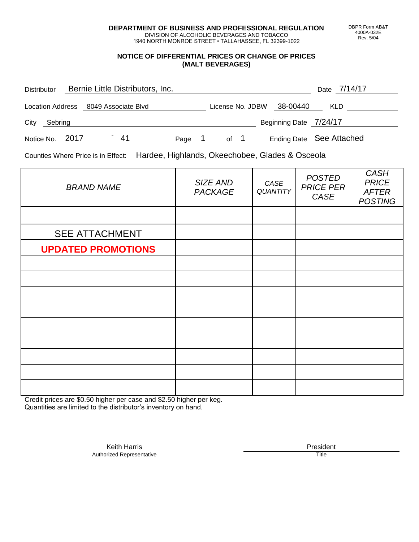**DEPARTMENT OF BUSINESS AND PROFESSIONAL REGULATION** DIVISION OF ALCOHOLIC BEVERAGES AND TOBACCO

1940 NORTH MONROE STREET • TALLAHASSEE, FL 32399-1022

### **NOTICE OF DIFFERENTIAL PRICES OR CHANGE OF PRICES (MALT BEVERAGES)**

| <b>Distributor</b>                   |  | Bernie Little Distributors, Inc. |        |                  |      |                          | Date 7/14/17 |  |
|--------------------------------------|--|----------------------------------|--------|------------------|------|--------------------------|--------------|--|
| Location Address 8049 Associate Blvd |  |                                  |        | License No. JDBW |      | 38-00440                 | <b>KLD</b>   |  |
| City<br>Sebring                      |  |                                  |        |                  |      | Beginning Date 7/24/17   |              |  |
| Notice No. 2017                      |  | 41                               | Page 1 |                  | of 1 | Ending Date See Attached |              |  |

Counties Where Price is in Effect: Hardee, Highlands, Okeechobee, Glades & Osceola

| <b>BRAND NAME</b>         | SIZE AND<br><b>PACKAGE</b> | CASE<br>QUANTITY | <b>POSTED</b><br><b>PRICE PER</b><br>CASE | <b>CASH</b><br><b>PRICE</b><br><b>AFTER</b><br><b>POSTING</b> |
|---------------------------|----------------------------|------------------|-------------------------------------------|---------------------------------------------------------------|
|                           |                            |                  |                                           |                                                               |
| <b>SEE ATTACHMENT</b>     |                            |                  |                                           |                                                               |
| <b>UPDATED PROMOTIONS</b> |                            |                  |                                           |                                                               |
|                           |                            |                  |                                           |                                                               |
|                           |                            |                  |                                           |                                                               |
|                           |                            |                  |                                           |                                                               |
|                           |                            |                  |                                           |                                                               |
|                           |                            |                  |                                           |                                                               |
|                           |                            |                  |                                           |                                                               |
|                           |                            |                  |                                           |                                                               |
|                           |                            |                  |                                           |                                                               |
|                           |                            |                  |                                           |                                                               |

Credit prices are \$0.50 higher per case and \$2.50 higher per keg. Quantities are limited to the distributor's inventory on hand.

> Keith Harris **President**<br> **President**<br>
> Prized Representative **President Authorized Representative**

DBPR Form AB&T 4000A-032E Rev. 5/04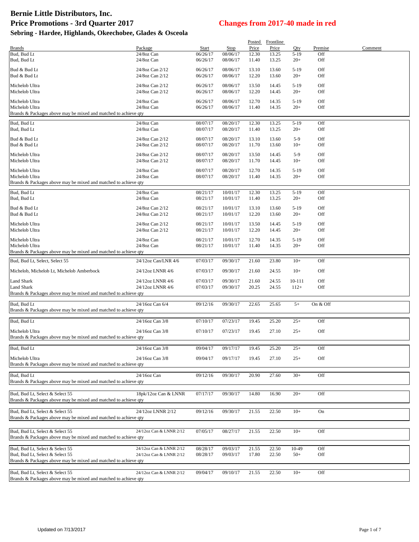|                                                                                   |                         |          |          |       | Posted Frontline |        |          |         |
|-----------------------------------------------------------------------------------|-------------------------|----------|----------|-------|------------------|--------|----------|---------|
| <b>Brands</b>                                                                     | Package                 | Start    | Stop     | Price | Price            | Qty    | Premise  | Comment |
| Bud, Bud Lt                                                                       | 24/8oz Can              | 06/26/17 | 08/06/17 | 12.30 | 13.25            | $5-19$ | Off      |         |
| Bud, Bud Lt                                                                       | 24/8oz Can              | 06/26/17 | 08/06/17 | 11.40 | 13.25            | $20+$  | Off      |         |
| Bud & Bud Lt                                                                      | 24/8oz Can 2/12         | 06/26/17 | 08/06/17 | 13.10 | 13.60            | $5-19$ | Off      |         |
| Bud & Bud Lt                                                                      | 24/8oz Can 2/12         | 06/26/17 | 08/06/17 | 12.20 | 13.60            | $20+$  | Off      |         |
|                                                                                   |                         |          |          |       |                  |        |          |         |
| Michelob Ultra                                                                    | 24/8oz Can 2/12         | 06/26/17 | 08/06/17 | 13.50 | 14.45            | $5-19$ | Off      |         |
| Michelob Ultra                                                                    | 24/8oz Can 2/12         | 06/26/17 | 08/06/17 | 12.20 | 14.45            | $20+$  | Off      |         |
| Michelob Ultra                                                                    | 24/8oz Can              | 06/26/17 | 08/06/17 | 12.70 | 14.35            | $5-19$ | Off      |         |
| Michelob Ultra                                                                    | 24/8oz Can              | 06/26/17 | 08/06/17 | 11.40 | 14.35            | $20+$  | Off      |         |
| Brands & Packages above may be mixed and matched to achieve qty                   |                         |          |          |       |                  |        |          |         |
| Bud, Bud Lt                                                                       | 24/8oz Can              | 08/07/17 | 08/20/17 | 12.30 | 13.25            | $5-19$ | Off      |         |
| Bud, Bud Lt                                                                       | 24/8oz Can              | 08/07/17 | 08/20/17 | 11.40 | 13.25            | $20+$  | Off      |         |
|                                                                                   |                         |          |          |       |                  |        |          |         |
| Bud & Bud Lt                                                                      | 24/8oz Can 2/12         | 08/07/17 | 08/20/17 | 13.10 | 13.60            | $5-9$  | Off      |         |
| Bud & Bud Lt                                                                      | 24/8oz Can 2/12         | 08/07/17 | 08/20/17 | 11.70 | 13.60            | $10+$  | Off      |         |
| Michelob Ultra                                                                    | 24/8oz Can 2/12         | 08/07/17 | 08/20/17 | 13.50 | 14.45            | $5-9$  | Off      |         |
| Michelob Ultra                                                                    | 24/8oz Can 2/12         | 08/07/17 | 08/20/17 | 11.70 | 14.45            | $10+$  | Off      |         |
| Michelob Ultra                                                                    | 24/8oz Can              | 08/07/17 | 08/20/17 | 12.70 | 14.35            | $5-19$ | Off      |         |
| Michelob Ultra                                                                    | 24/8oz Can              | 08/07/17 | 08/20/17 | 11.40 | 14.35            | $20+$  | Off      |         |
| Brands & Packages above may be mixed and matched to achieve qty                   |                         |          |          |       |                  |        |          |         |
|                                                                                   |                         |          |          |       |                  |        |          |         |
| Bud, Bud Lt                                                                       | 24/8oz Can              | 08/21/17 | 10/01/17 | 12.30 | 13.25            | $5-19$ | Off      |         |
| Bud, Bud Lt                                                                       | 24/8oz Can              | 08/21/17 | 10/01/17 | 11.40 | 13.25            | $20+$  | Off      |         |
| Bud & Bud Lt                                                                      | 24/8oz Can 2/12         | 08/21/17 | 10/01/17 | 13.10 | 13.60            | $5-19$ | Off      |         |
| Bud & Bud Lt                                                                      | 24/8oz Can 2/12         | 08/21/17 | 10/01/17 | 12.20 | 13.60            | $20+$  | Off      |         |
| Michelob Ultra                                                                    | 24/8oz Can 2/12         | 08/21/17 | 10/01/17 | 13.50 | 14.45            | $5-19$ | Off      |         |
| Michelob Ultra                                                                    | 24/8oz Can 2/12         | 08/21/17 | 10/01/17 | 12.20 | 14.45            | $20+$  | Off      |         |
|                                                                                   |                         |          |          |       |                  |        |          |         |
| Michelob Ultra                                                                    | 24/8oz Can              | 08/21/17 | 10/01/17 | 12.70 | 14.35            | $5-19$ | Off      |         |
| Michelob Ultra<br>Brands & Packages above may be mixed and matched to achieve qty | 24/8oz Can              | 08/21/17 | 10/01/17 | 11.40 | 14.35            | $20+$  | Off      |         |
|                                                                                   |                         |          |          |       |                  |        |          |         |
| Bud, Bud Lt, Select, Select 55                                                    | 24/12oz Can/LNR 4/6     | 07/03/17 | 09/30/17 | 21.60 | 23.80            | $10+$  | Off      |         |
| Michelob, Michelob Lt, Michelob Amberbock                                         | 24/12oz LNNR 4/6        | 07/03/17 | 09/30/17 | 21.60 | 24.55            | $10+$  | Off      |         |
|                                                                                   |                         |          |          |       |                  |        |          |         |
| Land Shark                                                                        | 24/12oz LNNR 4/6        | 07/03/17 | 09/30/17 | 21.60 | 24.55            | 10-111 | Off      |         |
| Land Shark                                                                        | 24/12oz LNNR 4/6        | 07/03/17 | 09/30/17 | 20.25 | 24.55            | $112+$ | Off      |         |
| Brands & Packages above may be mixed and matched to achieve qty                   |                         |          |          |       |                  |        |          |         |
| Bud, Bud Lt                                                                       | 24/16oz Can 6/4         | 09/12/16 | 09/30/17 | 22.65 | 25.65            | $5+$   | On & Off |         |
| Brands & Packages above may be mixed and matched to achieve qty                   |                         |          |          |       |                  |        |          |         |
|                                                                                   |                         |          |          |       |                  |        |          |         |
| Bud, Bud Lt                                                                       | 24/16oz Can 3/8         | 07/10/17 | 07/23/17 | 19.45 | 25.20            | $25+$  | Off      |         |
| Michelob Ultra                                                                    | 24/16oz Can 3/8         | 07/10/17 | 07/23/17 | 19.45 | 27.10            | $25+$  | Off      |         |
| Brands & Packages above may be mixed and matched to achieve qty                   |                         |          |          |       |                  |        |          |         |
|                                                                                   |                         |          |          |       |                  |        |          |         |
| Bud, Bud Lt                                                                       | 24/16oz Can 3/8         | 09/04/17 | 09/17/17 | 19.45 | 25.20            | $25+$  | Off      |         |
| Michelob Ultra                                                                    | 24/16oz Can 3/8         | 09/04/17 | 09/17/17 | 19.45 | 27.10            | $25+$  | Off      |         |
| Brands & Packages above may be mixed and matched to achieve qty                   |                         |          |          |       |                  |        |          |         |
|                                                                                   |                         |          |          |       |                  |        |          |         |
| Bud, Bud Lt                                                                       | 24/16oz Can             | 09/12/16 | 09/30/17 | 20.90 | 27.60            | $30+$  | Off      |         |
| Brands & Packages above may be mixed and matched to achieve qty                   |                         |          |          |       |                  |        |          |         |
|                                                                                   |                         |          |          |       |                  |        |          |         |
| Bud, Bud Lt, Select & Select 55                                                   | 18pk/12oz Can & LNNR    | 07/17/17 | 09/30/17 | 14.80 | 16.90            | $20+$  | Off      |         |
| Brands & Packages above may be mixed and matched to achieve qty                   |                         |          |          |       |                  |        |          |         |
| Bud, Bud Lt, Select & Select 55                                                   | 24/12oz LNNR 2/12       | 09/12/16 | 09/30/17 | 21.55 | 22.50            | $10+$  | On       |         |
| Brands & Packages above may be mixed and matched to achieve qty                   |                         |          |          |       |                  |        |          |         |
|                                                                                   |                         |          |          |       |                  |        |          |         |
| Bud, Bud Lt, Select & Select 55                                                   | 24/12oz Can & LNNR 2/12 | 07/05/17 | 08/27/17 | 21.55 | 22.50            | $10+$  | Off      |         |
| Brands & Packages above may be mixed and matched to achieve qty                   |                         |          |          |       |                  |        |          |         |
|                                                                                   |                         |          |          |       |                  |        |          |         |
| Bud, Bud Lt, Select & Select 55                                                   | 24/12oz Can & LNNR 2/12 | 08/28/17 | 09/03/17 | 21.55 | 22.50            | 10-49  | Off      |         |
| Bud, Bud Lt, Select & Select 55                                                   | 24/12oz Can & LNNR 2/12 | 08/28/17 | 09/03/17 | 17.80 | 22.50            | $50+$  | Off      |         |
| Brands & Packages above may be mixed and matched to achieve qty                   |                         |          |          |       |                  |        |          |         |
| Bud, Bud Lt, Select & Select 55                                                   | 24/12oz Can & LNNR 2/12 | 09/04/17 | 09/10/17 | 21.55 | 22.50            | $10+$  | Off      |         |
| Brands & Packages above may be mixed and matched to achieve qty                   |                         |          |          |       |                  |        |          |         |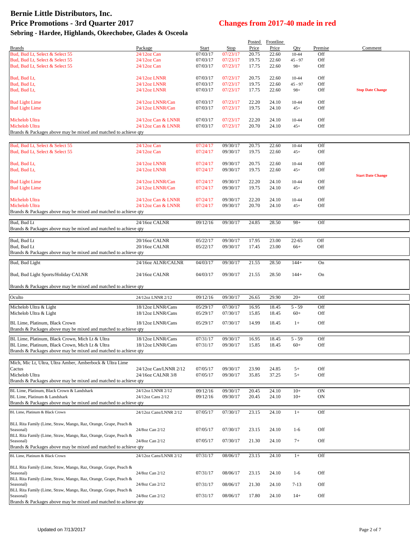|                                                                                   |                              |                      |                      |                | Posted Frontline |                |                |                          |
|-----------------------------------------------------------------------------------|------------------------------|----------------------|----------------------|----------------|------------------|----------------|----------------|--------------------------|
| <b>Brands</b><br>Bud, Bud Lt, Select & Select 55                                  | Package<br>24/12oz Can       | Start<br>07/03/17    | Stop<br>07/23/17     | Price<br>20.75 | Price<br>22.60   | Qty<br>10-44   | Premise<br>Off | Comment                  |
| Bud, Bud Lt, Select & Select 55                                                   | $24/12$ oz Can               | 07/03/17             | 07/23/17             | 19.75          | 22.60            | $45 - 97$      | Off            |                          |
| Bud, Bud Lt, Select & Select 55                                                   | $24/12$ oz Can               | 07/03/17             | 07/23/17             | 17.75          | 22.60            | $98+$          | Off            |                          |
| Bud, Bud Lt,                                                                      | 24/12oz LNNR                 | 07/03/17             | 07/23/17             | 20.75          | 22.60            | $10 - 44$      | Off            |                          |
| Bud, Bud Lt,                                                                      | 24/12oz LNNR                 | 07/03/17             | 07/23/17             | 19.75          | 22.60            | $45 - 97$      | Off            |                          |
| Bud, Bud Lt,                                                                      | 24/12oz LNNR                 | 07/03/17             | 07/23/17             | 17.75          | 22.60            | $98+$          | Off            | <b>Stop Date Change</b>  |
| <b>Bud Light Lime</b>                                                             | 24/12oz LNNR/Can             | 07/03/17             | 07/23/17             | 22.20          | 24.10            | 10-44          | Off            |                          |
| <b>Bud Light Lime</b>                                                             | 24/12oz LNNR/Can             | 07/03/17             | 07/23/17             | 19.75          | 24.10            | $45+$          | Off            |                          |
| Michelob Ultra                                                                    | 24/12oz Can & LNNR           | 07/03/17             | 07/23/17             | 22.20          | 24.10            |                | Off            |                          |
| Michelob Ultra                                                                    | 24/12oz Can & LNNR           | 07/03/17             | 07/23/17             | 20.70          | 24.10            | 10-44<br>$45+$ | Off            |                          |
| Brands & Packages above may be mixed and matched to achieve qty                   |                              |                      |                      |                |                  |                |                |                          |
| Bud, Bud Lt, Select & Select 55                                                   | $24/12$ oz Can               | 07/24/17             | 09/30/17             | 20.75          | 22.60            | 10-44          | Off            |                          |
| Bud, Bud Lt, Select & Select 55                                                   | $24/12$ oz Can               | 07/24/17             | 09/30/17             | 19.75          | 22.60            | $45+$          | Off            |                          |
|                                                                                   |                              |                      |                      |                |                  |                |                |                          |
| Bud, Bud Lt,<br>Bud, Bud Lt,                                                      | 24/12oz LNNR<br>24/12oz LNNR | 07/24/17<br>07/24/17 | 09/30/17<br>09/30/17 | 20.75<br>19.75 | 22.60<br>22.60   | 10-44<br>$45+$ | Off<br>Off     |                          |
|                                                                                   |                              |                      |                      |                |                  |                |                | <b>Start Date Change</b> |
| <b>Bud Light Lime</b>                                                             | 24/12oz LNNR/Can             | 07/24/17             | 09/30/17             | 22.20          | 24.10            | 10-44          | Off            |                          |
| <b>Bud Light Lime</b>                                                             | 24/12oz LNNR/Can             | 07/24/17             | 09/30/17             | 19.75          | 24.10            | $45+$          | Off            |                          |
| Michelob Ultra                                                                    | 24/12oz Can & LNNR           | 07/24/17             | 09/30/17             | 22.20          | 24.10            | 10-44          | Off            |                          |
| Michelob Ultra                                                                    | 24/12oz Can & LNNR           | 07/24/17             | 09/30/17             | 20.70          | 24.10            | $45+$          | Off            |                          |
| Brands & Packages above may be mixed and matched to achieve qty                   |                              |                      |                      |                |                  |                |                |                          |
| Bud, Bud Lt                                                                       | 24/16oz CALNR                | 09/12/16             | 09/30/17             | 24.85          | 28.50            | $98+$          | Off            |                          |
| Brands & Packages above may be mixed and matched to achieve qty                   |                              |                      |                      |                |                  |                |                |                          |
| Bud, Bud Lt                                                                       | 20/16oz CALNR                | 05/22/17             | 09/30/17             | 17.95          | 23.00            | $22 - 65$      | Off            |                          |
| Bud, Bud Lt                                                                       | 20/16oz CALNR                | 05/22/17             | 09/30/17             | 17.45          | 23.00            | $66+$          | Off            |                          |
| Brands & Packages above may be mixed and matched to achieve qty                   |                              |                      |                      |                |                  |                |                |                          |
| Bud, Bud Light                                                                    | 24/16oz ALNR/CALNR           | 04/03/17             | 09/30/17             | 21.55          | 28.50            | $144+$         | On             |                          |
| Bud, Bud Light Sports/Holiday CALNR                                               | 24/16oz CALNR                | 04/03/17             | 09/30/17             | 21.55          | 28.50            | $144+$         | On             |                          |
| Brands & Packages above may be mixed and matched to achieve qty                   |                              |                      |                      |                |                  |                |                |                          |
| Oculto                                                                            | 24/12oz LNNR 2/12            | 09/12/16             | 09/30/17             | 26.65          | 29.90            | $20+$          | Off            |                          |
| Michelob Ultra & Light                                                            | 18/12oz LNNR/Cans            | 05/29/17             | 07/30/17             | 16.95          | 18.45            | $5 - 59$       | Off            |                          |
| Michelob Ultra & Light                                                            | 18/12oz LNNR/Cans            | 05/29/17             | 07/30/17             | 15.85          | 18.45            | $60+$          | Off            |                          |
| BL Lime, Platinum, Black Crown                                                    | 18/12oz LNNR/Cans            | 05/29/17             | 07/30/17             | 14.99          | 18.45            | $1+$           | Off            |                          |
| Brands & Packages above may be mixed and matched to achieve qty                   |                              |                      |                      |                |                  |                |                |                          |
| BL Lime, Platinum, Black Crown, Mich Lt & Ultra                                   | 18/12oz LNNR/Cans            | 07/31/17             | 09/30/17             | 16.95          | 18.45            | $5 - 59$       | Off            |                          |
| BL Lime, Platinum, Black Crown, Mich Lt & Ultra                                   | 18/12oz LNNR/Cans            | 07/31/17             | 09/30/17             | 15.85          | 18.45            | $60+$          | Off            |                          |
| Brands & Packages above may be mixed and matched to achieve qty                   |                              |                      |                      |                |                  |                |                |                          |
| Mich, Mic Lt, Ultra, Ultra Amber, Amberbock & Ultra Lime                          |                              |                      |                      |                |                  |                |                |                          |
| Cactus                                                                            | 24/12oz Can/LNNR 2/12        | 07/05/17             | 09/30/17             | 23.90          | 24.85            | $5+$           | Off            |                          |
| Michelob Ultra<br>Brands & Packages above may be mixed and matched to achieve qty | 24/16oz CALNR 3/8            | 07/05/17             | 09/30/17             | 35.85          | 37.25            | $5+$           | Off            |                          |
| BL Lime, Platinum, Black Crown & Landshark                                        | 24/12oz LNNR 2/12            | 09/12/16             | 09/30/17             | 20.45          | 24.10            | $10+$          | ON             |                          |
| BL Lime, Platinum & Landshark                                                     | 24/12oz Cans 2/12            | 09/12/16             | 09/30/17             | 20.45          | 24.10            | $10+$          | ON             |                          |
| Brands & Packages above may be mixed and matched to achieve qty                   |                              |                      |                      |                |                  |                |                |                          |
| BL Lime, Platinum & Black Crown                                                   | 24/12oz Cans/LNNR 2/12       | 07/05/17             | 07/30/17             | 23.15          | 24.10            | $1+$           | Off            |                          |
| BLL Rita Family (Lime, Straw, Mango, Raz, Orange, Grape, Peach &                  |                              |                      |                      |                |                  |                |                |                          |
| Seasonal)                                                                         | 24/8oz Can 2/12              | 07/05/17             | 07/30/17             | 23.15          | 24.10            | $1-6$          | Off            |                          |
| BLL Rita Family (Lime, Straw, Mango, Raz, Orange, Grape, Peach &<br>Seasonal)     | 24/8oz Can 2/12              | 07/05/17             | 07/30/17             | 21.30          | 24.10            | $7+$           | Off            |                          |
| Brands & Packages above may be mixed and matched to achieve qty                   |                              |                      |                      |                |                  |                |                |                          |
| BL Lime, Platinum & Black Crown                                                   | 24/12oz Cans/LNNR 2/12       | 07/31/17             | 08/06/17             | 23.15          | 24.10            | $1+$           | Off            |                          |
| BLL Rita Family (Lime, Straw, Mango, Raz, Orange, Grape, Peach &                  |                              |                      |                      |                |                  |                |                |                          |
| Seasonal)                                                                         | 24/8oz Can 2/12              | 07/31/17             | 08/06/17             | 23.15          | 24.10            | $1-6$          | Off            |                          |
| BLL Rita Family (Lime, Straw, Mango, Raz, Orange, Grape, Peach &<br>Seasonal)     | 24/8oz Can 2/12              | 07/31/17             | 08/06/17             | 21.30          | 24.10            | $7 - 13$       | Off            |                          |
| BLL Rita Family (Lime, Straw, Mango, Raz, Orange, Grape, Peach &                  |                              |                      |                      |                |                  |                |                |                          |
| Seasonal)<br>Brands & Packages above may be mixed and matched to achieve qty      | 24/8oz Can 2/12              | 07/31/17             | 08/06/17             | 17.80          | 24.10            | $14+$          | Off            |                          |
|                                                                                   |                              |                      |                      |                |                  |                |                |                          |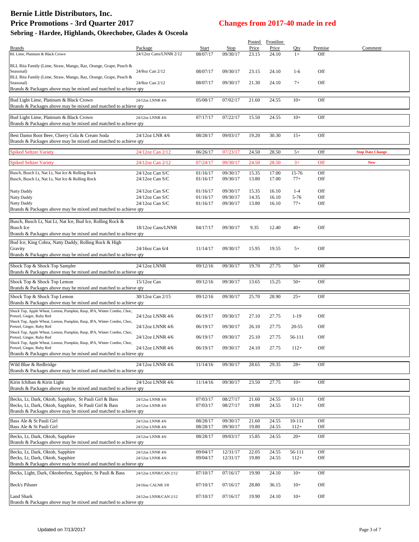# **Bernie Little Distributors, Inc. Price Promotions - 3rd Quarter 2017 Changes from 2017-40 made in red**

| Sebring - Hardee, Highlands, Okeechobee, Glades & Osceola |  |  |  |  |
|-----------------------------------------------------------|--|--|--|--|
|-----------------------------------------------------------|--|--|--|--|

|                                                                        |                        |          |          | Posted | Frontline |            |         |                         |
|------------------------------------------------------------------------|------------------------|----------|----------|--------|-----------|------------|---------|-------------------------|
| <b>Brands</b>                                                          | Package                | Start    | Stop     | Price  | Price     | Qty        | Premise | Comment                 |
| BL Lime, Platinum & Black Crown                                        | 24/12oz Cans/LNNR 2/12 | 08/07/17 | 09/30/17 | 23.15  | 24.10     | $1+$       | Off     |                         |
|                                                                        |                        |          |          |        |           |            |         |                         |
| BLL Rita Family (Lime, Straw, Mango, Raz, Orange, Grape, Peach &       |                        |          |          |        |           |            |         |                         |
| Seasonal)                                                              | 24/8oz Can 2/12        | 08/07/17 | 09/30/17 | 23.15  | 24.10     | $1-6$      | Off     |                         |
| BLL Rita Family (Lime, Straw, Mango, Raz, Orange, Grape, Peach &       |                        |          |          |        |           |            |         |                         |
| Seasonal)                                                              | 24/8oz Can 2/12        | 08/07/17 | 09/30/17 | 21.30  | 24.10     | $7+$       | Off     |                         |
| Brands & Packages above may be mixed and matched to achieve qty        |                        |          |          |        |           |            |         |                         |
| Bud Light Lime, Platinum & Black Crown                                 | 24/12oz LNNR 4/6       | 05/08/17 | 07/02/17 | 21.60  | 24.55     | $10+$      | Off     |                         |
| Brands & Packages above may be mixed and matched to achieve qty        |                        |          |          |        |           |            |         |                         |
|                                                                        |                        |          |          |        |           |            |         |                         |
| Bud Light Lime, Platinum & Black Crown                                 | 24/12oz LNNR 4/6       | 07/17/17 | 07/22/17 | 15.50  | 24.55     | $10+$      | Off     |                         |
| Brands & Packages above may be mixed and matched to achieve qty        |                        |          |          |        |           |            |         |                         |
|                                                                        |                        |          |          |        |           |            |         |                         |
| Best Damn Root Beer, Cherry Cola & Cream Soda                          | 24/12oz LNR 4/6        | 08/28/17 | 09/03/17 | 19.20  | 30.30     | $15+$      | Off     |                         |
| Brands & Packages above may be mixed and matched to achieve qty        |                        |          |          |        |           |            |         |                         |
|                                                                        |                        |          |          |        |           |            |         |                         |
| <b>Spiked Seltzer Variety</b>                                          | 24/12oz Can 2/12       | 06/26/17 | 07/23/17 | 24.50  | 28.50     | $5+$       | Off     | <b>Stop Date Change</b> |
|                                                                        |                        |          |          |        |           |            |         |                         |
| <b>Spiked Seltzer Variety</b>                                          | 24/12oz Can 2/12       | 07/24/17 | 09/30/17 | 24.50  | 28.50     | $3+$       | Off     | <b>New</b>              |
|                                                                        |                        |          |          |        |           |            |         |                         |
| Busch, Busch Lt, Nat Lt, Nat Ice & Rolling Rock                        | $24/12$ oz Can S/C     | 01/16/17 | 09/30/17 | 15.35  | 17.00     | 15-76      | Off     |                         |
| Busch, Busch Lt, Nat Lt, Nat Ice & Rolling Rock                        | $24/12$ oz Can S/C     | 01/16/17 | 09/30/17 | 13.80  | 17.00     | $77+$      | Off     |                         |
|                                                                        |                        |          |          |        |           |            |         |                         |
| <b>Natty Daddy</b>                                                     | $24/12$ oz Can S/C     | 01/16/17 | 09/30/17 | 15.35  | 16.10     | $1 - 4$    | Off     |                         |
| <b>Natty Daddy</b>                                                     | $24/12$ oz Can S/C     | 01/16/17 | 09/30/17 | 14.35  | 16.10     | 5-76       | Off     |                         |
| <b>Natty Daddy</b>                                                     | 24/12oz Can S/C        | 01/16/17 | 09/30/17 | 13.80  | 16.10     | $77+$      | Off     |                         |
| Brands & Packages above may be mixed and matched to achieve qty        |                        |          |          |        |           |            |         |                         |
|                                                                        |                        |          |          |        |           |            |         |                         |
| Busch, Busch Lt, Nat Lt, Nat Ice, Bud Ice, Rolling Rock &              |                        |          |          |        |           |            |         |                         |
| <b>Busch Ice</b>                                                       | 18/12oz Cans/LNNR      | 04/17/17 | 09/30/17 | 9.35   | 12.40     | $40+$      | Off     |                         |
| Brands & Packages above may be mixed and matched to achieve qty        |                        |          |          |        |           |            |         |                         |
|                                                                        |                        |          |          |        |           |            |         |                         |
| Bud Ice, King Cobra, Natty Daddy, Rolling Rock & High                  |                        |          |          |        |           |            |         |                         |
| Gravity                                                                | 24/16oz Can 6/4        | 11/14/17 | 09/30/17 | 15.95  | 19.55     | $5+$       | Off     |                         |
| Brands & Packages above may be mixed and matched to achieve qty        |                        |          |          |        |           |            |         |                         |
|                                                                        |                        |          |          |        |           |            |         |                         |
| Shock Top & Shock Top Sampler                                          | 24/12oz LNNR           | 09/12/16 | 09/30/17 | 19.70  | 27.75     | $56+$      | Off     |                         |
| Brands & Packages above may be mixed and matched to achieve qty        |                        |          |          |        |           |            |         |                         |
| Shock Top & Shock Top Lemon                                            | 15/12oz Can            | 09/12/16 | 09/30/17 | 13.65  | 15.25     | $50+$      | Off     |                         |
| Brands & Packages above may be mixed and matched to achieve qty        |                        |          |          |        |           |            |         |                         |
|                                                                        |                        |          |          |        |           |            |         |                         |
| Shock Top & Shock Top Lemon                                            | 30/12oz Can 2/15       | 09/12/16 | 09/30/17 | 25.70  | 28.90     | $25+$      | Off     |                         |
| Brands & Packages above may be mixed and matched to achieve qty        |                        |          |          |        |           |            |         |                         |
| Shock Top, Apple Wheat, Lemon, Pumpkin, Rasp, IPA, Winter Combo, Choc, |                        |          |          |        |           |            |         |                         |
| Pretzel, Ginger, Ruby Red                                              | 24/12oz LNNR 4/6       | 06/19/17 | 09/30/17 | 27.10  | 27.75     | $1-19$     | Off     |                         |
| Shock Top, Apple Wheat, Lemon, Pumpkin, Rasp, IPA, Winter Combo, Choc, |                        |          |          |        |           |            |         |                         |
| Pretzel, Ginger, Ruby Red                                              | 24/12oz LNNR 4/6       | 06/19/17 | 09/30/17 | 26.10  | 27.75     | 20-55      | Off     |                         |
| Shock Top, Apple Wheat, Lemon, Pumpkin, Rasp, IPA, Winter Combo, Choc, |                        |          |          |        |           |            |         |                         |
| Pretzel, Ginger, Ruby Red                                              | 24/12oz LNNR 4/6       | 06/19/17 | 09/30/17 | 25.10  | 27.75     | 56-111     | Off     |                         |
| Shock Top, Apple Wheat, Lemon, Pumpkin, Rasp, IPA, Winter Combo, Choc, |                        | 06/19/17 |          |        |           |            |         |                         |
| Pretzel, Ginger, Ruby Red                                              | 24/12oz LNNR 4/6       |          | 09/30/17 | 24.10  | 27.75     | $112+$     | Off     |                         |
| Brands & Packages above may be mixed and matched to achieve qty        |                        |          |          |        |           |            |         |                         |
| Wild Blue & Redbridge                                                  | 24/12oz LNNR 4/6       | 11/14/16 | 09/30/17 | 28.65  | 29.35     | $28+$      | Off     |                         |
| Brands & Packages above may be mixed and matched to achieve qty        |                        |          |          |        |           |            |         |                         |
|                                                                        |                        |          |          |        |           |            |         |                         |
| Kirin Ichiban & Kirin Light                                            | 24/12oz LNNR 4/6       | 11/14/16 | 09/30/17 | 23.50  | 27.75     | $10+$      | Off     |                         |
| Brands & Packages above may be mixed and matched to achieve qty        |                        |          |          |        |           |            |         |                         |
|                                                                        |                        |          |          |        |           |            |         |                         |
| Becks, Lt, Dark, Oktob, Sapphire, St Pauli Girl & Bass                 | 24/12oz LNNR 4/6       | 07/03/17 | 08/27/17 | 21.60  | 24.55     | $10 - 111$ | Off     |                         |
| Becks, Lt, Dark, Oktob, Sapphire, St Pauli Girl & Bass                 | 24/12oz LNNR 4/6       | 07/03/17 | 08/27/17 | 19.80  | 24.55     | $112+$     | Off     |                         |
| Brands & Packages above may be mixed and matched to achieve qty        |                        |          |          |        |           |            |         |                         |
|                                                                        |                        |          |          |        |           |            |         |                         |
| Bass Ale & St Pauli Girl                                               | 24/12oz LNNR 4/6       | 08/28/17 | 09/30/17 | 21.60  | 24.55     | $10 - 111$ | Off     |                         |
| Bass Ale & St Pauli Girl                                               | 24/12oz LNNR 4/6       | 08/28/17 | 09/30/17 | 19.80  | 24.55     | $112+$     | Off     |                         |
|                                                                        |                        |          |          |        |           |            |         |                         |
| Becks, Lt, Dark, Oktob, Sapphire                                       | 24/12oz LNNR 4/6       | 08/28/17 | 09/03/17 | 15.85  | 24.55     | $20+$      | Off     |                         |
| Brands & Packages above may be mixed and matched to achieve qty        |                        |          |          |        |           |            |         |                         |
| Becks, Lt, Dark, Oktob, Sapphire                                       | 24/12oz LNNR 4/6       | 09/04/17 | 12/31/17 | 22.05  | 24.55     | 56-111     | Off     |                         |
| Becks, Lt, Dark, Oktob, Sapphire                                       | 24/12oz LNNR 4/6       | 09/04/17 | 12/31/17 | 19.80  | 24.55     | $112+$     | Off     |                         |
| Brands & Packages above may be mixed and matched to achieve qty        |                        |          |          |        |           |            |         |                         |
|                                                                        |                        |          |          |        |           |            |         |                         |
| Becks, Light, Dark, Oktoberfest, Sapphire, St Pauli & Bass             | 24/12oz LNNR/CAN 2/12  | 07/10/17 | 07/16/17 | 19.90  | 24.10     | $10+$      | Off     |                         |
|                                                                        |                        |          |          |        |           |            |         |                         |
| Beck's Pilsner                                                         | 24/16oz CALNR 3/8      | 07/10/17 | 07/16/17 | 28.80  | 36.15     | $10+$      | Off     |                         |
|                                                                        |                        |          |          |        |           |            |         |                         |
| <b>Land Shark</b>                                                      | 24/12oz LNNR/CAN 2/12  | 07/10/17 | 07/16/17 | 19.90  | 24.10     | $10+$      | Off     |                         |
| Brands & Packages above may be mixed and matched to achieve qty        |                        |          |          |        |           |            |         |                         |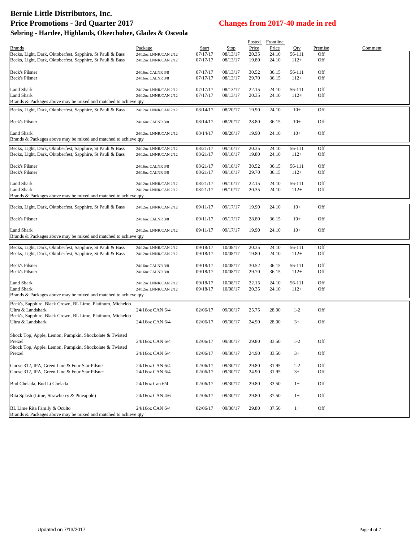# **Bernie Little Distributors, Inc. Price Promotions - 3rd Quarter 2017 Changes from 2017-40 made in red**

| Sebring - Hardee, Highlands, Okeechobee, Glades & Osceola |  |  |  |  |
|-----------------------------------------------------------|--|--|--|--|
|-----------------------------------------------------------|--|--|--|--|

|                                                                                 |                       |          |             | <b>Posted</b> | <b>Frontline</b> |         |         |         |
|---------------------------------------------------------------------------------|-----------------------|----------|-------------|---------------|------------------|---------|---------|---------|
| <b>Brands</b>                                                                   | Package               | Start    | <b>Stop</b> | Price         | Price            | Qty     | Premise | Comment |
| Becks, Light, Dark, Oktoberfest, Sapphire, St Pauli & Bass                      | 24/12oz LNNR/CAN 2/12 | 07/17/17 | 08/13/17    | 20.35         | 24.10            | 56-111  | Off     |         |
| Becks, Light, Dark, Oktoberfest, Sapphire, St Pauli & Bass                      | 24/12oz LNNR/CAN 2/12 | 07/17/17 | 08/13/17    | 19.80         | 24.10            | $112+$  | Off     |         |
|                                                                                 |                       |          |             |               |                  |         |         |         |
| Beck's Pilsner                                                                  | 24/16oz CALNR 3/8     | 07/17/17 | 08/13/17    | 30.52         | 36.15            | 56-111  | Off     |         |
| Beck's Pilsner                                                                  |                       |          |             |               |                  |         |         |         |
|                                                                                 | 24/16oz CALNR 3/8     | 07/17/17 | 08/13/17    | 29.70         | 36.15            | $112+$  | Off     |         |
| <b>Land Shark</b>                                                               | 24/12oz LNNR/CAN 2/12 | 07/17/17 | 08/13/17    | 22.15         | 24.10            | 56-111  | Off     |         |
| <b>Land Shark</b>                                                               |                       | 07/17/17 | 08/13/17    | 20.35         | 24.10            | $112+$  | Off     |         |
|                                                                                 | 24/12oz LNNR/CAN 2/12 |          |             |               |                  |         |         |         |
| Brands & Packages above may be mixed and matched to achieve qty                 |                       |          |             |               |                  |         |         |         |
| Becks, Light, Dark, Oktoberfest, Sapphire, St Pauli & Bass                      | 24/12oz LNNR/CAN 2/12 | 08/14/17 | 08/20/17    | 19.90         | 24.10            | $10+$   | Off     |         |
|                                                                                 |                       |          |             |               |                  |         |         |         |
| Beck's Pilsner                                                                  | 24/16oz CALNR 3/8     | 08/14/17 | 08/20/17    | 28.80         | 36.15            | $10+$   | Off     |         |
|                                                                                 |                       |          |             |               |                  |         |         |         |
| <b>Land Shark</b>                                                               | 24/12oz LNNR/CAN 2/12 | 08/14/17 | 08/20/17    | 19.90         | 24.10            | $10+$   | Off     |         |
| Brands & Packages above may be mixed and matched to achieve qty                 |                       |          |             |               |                  |         |         |         |
|                                                                                 |                       |          |             |               |                  |         |         |         |
| Becks, Light, Dark, Oktoberfest, Sapphire, St Pauli & Bass                      | 24/12oz LNNR/CAN 2/12 | 08/21/17 | 09/10/17    | 20.35         | 24.10            | 56-111  | Off     |         |
| Becks, Light, Dark, Oktoberfest, Sapphire, St Pauli & Bass                      | 24/12oz LNNR/CAN 2/12 | 08/21/17 | 09/10/17    | 19.80         | 24.10            | $112+$  | Off     |         |
|                                                                                 |                       |          |             |               |                  |         |         |         |
| <b>Beck's Pilsner</b>                                                           | 24/16oz CALNR 3/8     | 08/21/17 | 09/10/17    | 30.52         | 36.15            | 56-111  | Off     |         |
| Beck's Pilsner                                                                  | 24/16oz CALNR 3/8     | 08/21/17 | 09/10/17    | 29.70         | 36.15            | $112+$  | Off     |         |
|                                                                                 |                       |          |             |               |                  |         |         |         |
| Land Shark                                                                      | 24/12oz LNNR/CAN 2/12 | 08/21/17 | 09/10/17    | 22.15         | 24.10            | 56-111  | Off     |         |
| <b>Land Shark</b>                                                               | 24/12oz LNNR/CAN 2/12 | 08/21/17 | 09/10/17    | 20.35         | 24.10            | $112+$  | Off     |         |
| Brands & Packages above may be mixed and matched to achieve qty                 |                       |          |             |               |                  |         |         |         |
|                                                                                 |                       |          |             |               |                  |         |         |         |
| Becks, Light, Dark, Oktoberfest, Sapphire, St Pauli & Bass                      | 24/12oz LNNR/CAN 2/12 | 09/11/17 | 09/17/17    | 19.90         | 24.10            | $10+$   | Off     |         |
|                                                                                 |                       |          |             |               |                  |         |         |         |
| Beck's Pilsner                                                                  | 24/16oz CALNR 3/8     | 09/11/17 | 09/17/17    | 28.80         | 36.15            | $10+$   | Off     |         |
|                                                                                 |                       |          |             |               |                  |         |         |         |
| <b>Land Shark</b>                                                               | 24/12oz LNNR/CAN 2/12 | 09/11/17 | 09/17/17    | 19.90         | 24.10            | $10+$   | Off     |         |
|                                                                                 |                       |          |             |               |                  |         |         |         |
| Brands & Packages above may be mixed and matched to achieve qty                 |                       |          |             |               |                  |         |         |         |
| Becks, Light, Dark, Oktoberfest, Sapphire, St Pauli & Bass                      | 24/12oz LNNR/CAN 2/12 | 09/18/17 | 10/08/17    | 20.35         | 24.10            | 56-111  | Off     |         |
|                                                                                 |                       |          |             |               |                  |         |         |         |
| Becks, Light, Dark, Oktoberfest, Sapphire, St Pauli & Bass                      | 24/12oz LNNR/CAN 2/12 | 09/18/17 | 10/08/17    | 19.80         | 24.10            | $112+$  | Off     |         |
|                                                                                 |                       |          |             |               |                  |         |         |         |
| Beck's Pilsner                                                                  | 24/16oz CALNR 3/8     | 09/18/17 | 10/08/17    | 30.52         | 36.15            | 56-111  | Off     |         |
| Beck's Pilsner                                                                  | 24/16oz CALNR 3/8     | 09/18/17 | 10/08/17    | 29.70         | 36.15            | $112+$  | Off     |         |
|                                                                                 |                       |          |             |               |                  |         |         |         |
| Land Shark                                                                      | 24/12oz LNNR/CAN 2/12 | 09/18/17 | 10/08/17    | 22.15         | 24.10            | 56-111  | Off     |         |
| Land Shark                                                                      | 24/12oz LNNR/CAN 2/12 | 09/18/17 | 10/08/17    | 20.35         | 24.10            | $112+$  | Off     |         |
| Brands & Packages above may be mixed and matched to achieve qty                 |                       |          |             |               |                  |         |         |         |
| Beck's, Sapphire, Black Crown, BL Lime, Platinum, Michelob                      |                       |          |             |               |                  |         |         |         |
|                                                                                 | 24/16oz CAN 6/4       |          |             |               |                  |         |         |         |
| Ultra & Landshark<br>Beck's, Sapphire, Black Crown, BL Lime, Platinum, Michelob |                       | 02/06/17 | 09/30/17    | 25.75         | 28.00            | $1 - 2$ | Off     |         |
|                                                                                 |                       |          |             |               |                  |         |         |         |
| Ultra & Landshark                                                               | 24/16oz CAN 6/4       | 02/06/17 | 09/30/17    | 24.90         | 28.00            | $3+$    | Off     |         |
|                                                                                 |                       |          |             |               |                  |         |         |         |
| Shock Top, Apple, Lemon, Pumpkin, Shockolate & Twisted                          |                       |          |             |               |                  |         |         |         |
| Pretzel                                                                         | 24/16oz CAN 6/4       | 02/06/17 | 09/30/17    | 29.80         | 33.50            | $1 - 2$ | Off     |         |
| Shock Top, Apple, Lemon, Pumpkin, Shockolate & Twisted                          |                       |          |             |               |                  |         |         |         |
| Pretzel                                                                         | 24/16oz CAN 6/4       | 02/06/17 | 09/30/17    | 24.90         | 33.50            | $3+$    | Off     |         |
|                                                                                 |                       |          |             |               |                  |         |         |         |
| Goose 312, IPA, Green Line & Four Star Pilsner                                  | 24/16oz CAN 6/4       | 02/06/17 | 09/30/17    | 29.80         | 31.95            | $1 - 2$ | Off     |         |
| Goose 312, IPA, Green Line & Four Star Pilsner                                  | 24/16oz CAN 6/4       | 02/06/17 |             | 24.90         | 31.95            |         | Off     |         |
|                                                                                 |                       |          | 09/30/17    |               |                  | $3+$    |         |         |
|                                                                                 |                       |          |             |               |                  |         |         |         |
| Bud Chelada, Bud Lt Chelada                                                     | 24/16oz Can 6/4       | 02/06/17 | 09/30/17    | 29.80         | 33.50            | $1+$    | Off     |         |
|                                                                                 |                       |          |             |               |                  |         |         |         |
| Rita Splash (Lime, Strawberry & Pineapple)                                      | 24/16oz CAN 4/6       | 02/06/17 | 09/30/17    | 29.80         | 37.50            | $1+$    | Off     |         |
|                                                                                 |                       |          |             |               |                  |         |         |         |
| BL Lime Rita Family & Oculto                                                    | 24/16oz CAN 6/4       | 02/06/17 | 09/30/17    | 29.80         | 37.50            | $1+$    | Off     |         |
| Brands & Packages above may be mixed and matched to achieve qty                 |                       |          |             |               |                  |         |         |         |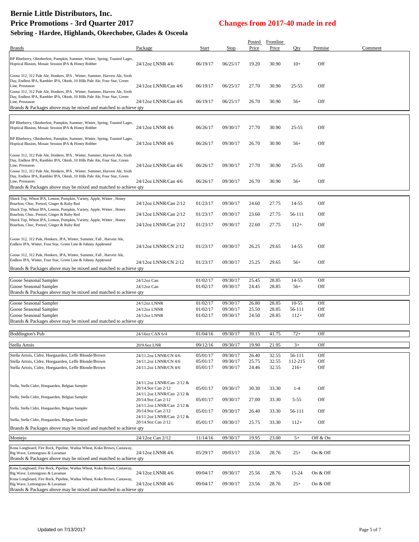# **Bernie Little Distributors, Inc.**

| <b>Price Promotions - 3rd Quarter 2017</b>                                                                                                                                                                                                                                                                                          |                                                                              | <b>Changes from 2017-40 made in red</b> |                      |                |                           |                   |            |         |
|-------------------------------------------------------------------------------------------------------------------------------------------------------------------------------------------------------------------------------------------------------------------------------------------------------------------------------------|------------------------------------------------------------------------------|-----------------------------------------|----------------------|----------------|---------------------------|-------------------|------------|---------|
| Sebring - Hardee, Highlands, Okeechobee, Glades & Osceola                                                                                                                                                                                                                                                                           |                                                                              |                                         |                      |                |                           |                   |            |         |
| <b>Brands</b>                                                                                                                                                                                                                                                                                                                       | Package                                                                      | Start                                   | <b>Stop</b>          | Price          | Posted Frontline<br>Price | Qty               | Premise    | Comment |
| BP Blueberry, Oktoberfest, Pumpkin, Summer, Winter, Spring, Toasted Lager,<br>Hoptical Illusion, Mosaic Session IPA & Honey Robber                                                                                                                                                                                                  | 24/12oz LNNR 4/6                                                             | 06/19/17                                | 06/25/17             | 19.20          | 30.90                     | $10+$             | Off        |         |
| Goose 312, 312 Pale Ale, Honkers, IPA, Winter, Summer, Harvest Ale, Sixth<br>Day, Endless IPA, Rambler IPA, Oktob, 10 Hills Pale Ale, Four Star, Green<br>Line, Preseason<br>Goose 312, 312 Pale Ale, Honkers, IPA, Winter, Summer, Harvest Ale, Sixth                                                                              | 24/12oz LNNR/Can 4/6                                                         | 06/19/17                                | 06/25/17             | 27.70          | 30.90                     | $25 - 55$         | Off        |         |
| Day, Endless IPA, Rambler IPA, Oktob, 10 Hills Pale Ale, Four Star, Green<br>Line, Preseason<br>Brands & Packages above may be mixed and matched to achieve qty                                                                                                                                                                     | 24/12oz LNNR/Can 4/6                                                         | 06/19/17                                | 06/25/17             | 26.70          | 30.90                     | $56+$             | Off        |         |
| BP Blueberry, Oktoberfest, Pumpkin, Summer, Winter, Spring, Toasted Lager,<br>Hoptical Illusion, Mosaic Session IPA & Honey Robber                                                                                                                                                                                                  | 24/12oz LNNR 4/6                                                             | 06/26/17                                | 09/30/17             | 27.70          | 30.90                     | $25 - 55$         | Off        |         |
| BP Blueberry, Oktoberfest, Pumpkin, Summer, Winter, Spring, Toasted Lager,<br>Hoptical Illusion, Mosaic Session IPA & Honey Robber                                                                                                                                                                                                  | 24/12oz LNNR 4/6                                                             | 06/26/17                                | 09/30/17             | 26.70          | 30.90                     | $56+$             | Off        |         |
| Goose 312, 312 Pale Ale, Honkers, IPA, Winter, Summer, Harvest Ale, Sixth<br>Day, Endless IPA, Rambler IPA, Oktob, 10 Hills Pale Ale, Four Star, Green<br>Line, Preseason<br>Goose 312, 312 Pale Ale, Honkers, IPA, Winter, Summer, Harvest Ale, Sixth<br>Day, Endless IPA, Rambler IPA, Oktob, 10 Hills Pale Ale, Four Star, Green | 24/12oz LNNR/Can 4/6                                                         | 06/26/17                                | 09/30/17             | 27.70          | 30.90                     | $25 - 55$         | Off        |         |
| Line, Preseason<br>Brands & Packages above may be mixed and matched to achieve qty                                                                                                                                                                                                                                                  | 24/12oz LNNR/Can 4/6                                                         | 06/26/17                                | 09/30/17             | 26.70          | 30.90                     | $56+$             | Off        |         |
| Shock Top, Wheat IPA, Lemon, Pumpkin, Variety, Apple, Winter, Honey<br>Bourbon, Choc, Pretzel, Ginger & Ruby Red                                                                                                                                                                                                                    | 24/12oz LNNR/Can 2/12                                                        | 01/23/17                                | 09/30/17             | 24.60          | 27.75                     | 14-55             | Off        |         |
| Shock Top, Wheat IPA, Lemon, Pumpkin, Variety, Apple, Winter, Honey<br>Bourbon, Choc, Pretzel, Ginger & Ruby Red                                                                                                                                                                                                                    | 24/12oz LNNR/Can 2/12                                                        | 01/23/17                                | 09/30/17             | 23.60          | 27.75                     | 56-111            | Off        |         |
| Shock Top, Wheat IPA, Lemon, Pumpkin, Variety, Apple, Winter, Honey<br>Bourbon, Choc, Pretzel, Ginger & Ruby Red                                                                                                                                                                                                                    | 24/12oz LNNR/Can 2/12                                                        | 01/23/17                                | 09/30/17             | 22.60          | 27.75                     | $112+$            | Off        |         |
| Goose 312, 312 Pale, Honkers, IPA, Winter, Summer, Fall, Harvest Ale,<br>Endless IPA, Winter, Four Star, Green Line & Johnny Appleseed                                                                                                                                                                                              | 24/12oz LNNR/CN 2/12                                                         | 01/23/17                                | 09/30/17             | 26.25          | 29.65                     | 14-55             | Off        |         |
| Goose 312, 312 Pale, Honkers, IPA, Winter, Summer, Fall, Harvest Ale,<br>Endless IPA, Winter, Four Star, Green Line & Johnny Appleseed<br>Brands & Packages above may be mixed and matched to achieve qty                                                                                                                           | 24/12oz LNNR/CN 2/12                                                         | 01/23/17                                | 09/30/17             | 25.25          | 29.65                     | $56+$             | Off        |         |
|                                                                                                                                                                                                                                                                                                                                     |                                                                              |                                         |                      |                |                           |                   |            |         |
| Goose Seasonal Sampler<br>Goose Seasonal Sampler<br>Brands & Packages above may be mixed and matched to achieve qty                                                                                                                                                                                                                 | 24/12oz Can<br>$24/12$ oz Can                                                | 01/02/17<br>01/02/17                    | 09/30/17<br>09/30/17 | 25.45<br>24.45 | 28.85<br>28.85            | 14-55<br>$56+$    | Off<br>Off |         |
|                                                                                                                                                                                                                                                                                                                                     |                                                                              |                                         |                      |                |                           |                   |            |         |
| Goose Seasonal Sampler<br>Goose Seasonal Sampler                                                                                                                                                                                                                                                                                    | 24/12oz LNNR<br>24/12oz LNNR                                                 | 01/02/17<br>01/02/17                    | 09/30/17<br>09/30/17 | 26.80<br>25.50 | 28.85<br>28.85            | $10-55$<br>56-111 | Off<br>Off |         |
| Goose Seasonal Sampler<br>Brands & Packages above may be mixed and matched to achieve qty                                                                                                                                                                                                                                           | 24/12oz LNNR                                                                 | 01/02/17                                | 09/30/17             | 24.50          | 28.85                     | $112+$            | Off        |         |
|                                                                                                                                                                                                                                                                                                                                     |                                                                              |                                         |                      |                |                           |                   |            |         |
| <b>Boddington's Pub</b>                                                                                                                                                                                                                                                                                                             | 24/16oz CAN 6/4                                                              | 01/04/16                                | 09/30/17             | 39.15          | 41.75                     | $72+$             | Off        |         |
| Stella Artois                                                                                                                                                                                                                                                                                                                       | 20/9.6oz LNR                                                                 | 09/12/16                                | 09/30/17             | 19.90          | 21.95                     | $3+$              | Off        |         |
| Stella Artois, Cidre, Hoegaarden, Leffe Blonde/Brown                                                                                                                                                                                                                                                                                | 24/11.2oz LNNR/CN 4/6                                                        | 05/01/17                                | 09/30/17             | 26.40          | 32.55                     | 56-111            | Off        |         |
| Stella Artois, Cidre, Hoegaarden, Leffe Blonde/Brown<br>Stella Artois, Cidre, Hoegaarden, Leffe Blonde/Brown                                                                                                                                                                                                                        | 24/11.2oz LNNR/CN 4/6<br>24/11.2oz LNNR/CN 4/6                               | 05/01/17<br>05/01/17                    | 09/30/17<br>09/30/17 | 25.75<br>24.46 | 32.55<br>32.55            | 112-215<br>$216+$ | Off<br>Off |         |
| Stella, Stella Cidre, Hoegaarden, Belgian Sampler                                                                                                                                                                                                                                                                                   | 24/11.2oz LNNR/Can 2/12 &<br>20/14.9oz Can 2/12<br>24/11.2oz LNNR/Can 2/12 & | 05/01/17                                | 09/30/17             | 30.30          | 33.30                     | $1 - 4$           | Off        |         |
| Stella, Stella Cidre, Hoegaarden, Belgian Sampler                                                                                                                                                                                                                                                                                   | 20/14.9oz Can 2/12<br>24/11.2oz LNNR/Can 2/12 &                              | 05/01/17                                | 09/30/17             | 27.00          | 33.30                     | $5 - 55$          | Off        |         |
| Stella, Stella Cidre, Hoegaarden, Belgian Sampler                                                                                                                                                                                                                                                                                   | 20/14.9oz Can 2/12<br>24/11.2oz LNNR/Can 2/12 &                              | 05/01/17                                | 09/30/17             | 26.40          | 33.30                     | 56-111            | Off        |         |
| Stella, Stella Cidre, Hoegaarden, Belgian Sampler                                                                                                                                                                                                                                                                                   | 20/14.9oz Can 2/12                                                           | 05/01/17                                | 09/30/17             | 25.75          | 33.30                     | $112+$            | Off        |         |
| Brands & Packages above may be mixed and matched to achieve qty                                                                                                                                                                                                                                                                     |                                                                              |                                         |                      |                |                           |                   |            |         |
| Montejo                                                                                                                                                                                                                                                                                                                             | 24/12oz Can 2/12                                                             | 11/14/16                                | 09/30/17             | 19.95          | 23.00                     | $5+$              | Off & On   |         |

Kona Longboard, Fire Rock, Pipeline, Wailua Wheat, Koko Brown, Castaway, Big Wave, Lemongrass & Lavaman 24/12oz LNNR 4/6 05/29/17 09/03/17 23.56 28.76 25+ On & Off Brands & Packages above may be mixed and matched to achieve qty Kona Longboard, Fire Rock, Pipeline, Wailua Wheat, Koko Brown, Castaway, Big Wave, Lemongrass & Lavaman 24/12oz LNNR 4/6 09/04/17 09/30/17 25.56 28.76 15-24 On & Off Kona Longboard, Fire Rock, Pipeline, Wailua Wheat, Koko Brown, Castaway, Big Wave, Lemongrass & Lavaman 24/12oz LNNR 4/6 09/04/17 09/30/17 23.56 28.76 25+ On & Off Brands & Packages above may be mixed and matched to achieve qty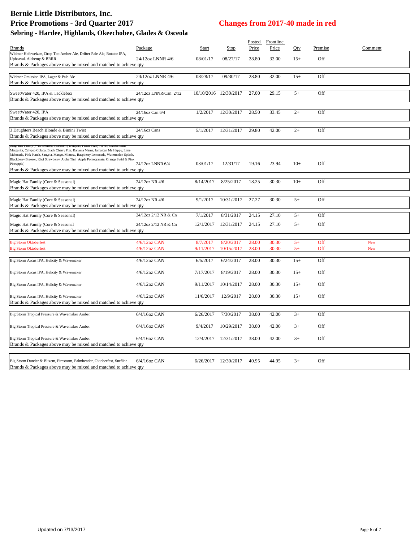|                                                                                                                                                                            |                       |           |                       |       | Posted Frontline |       |         |            |
|----------------------------------------------------------------------------------------------------------------------------------------------------------------------------|-----------------------|-----------|-----------------------|-------|------------------|-------|---------|------------|
| Brands                                                                                                                                                                     | Package               | Start     | Stop                  | Price | Price            | Oty   | Premise | Comment    |
| Widmer Hefeweizen, Drop Top Amber Ale, Drifter Pale Ale, Rotator IPA,<br>Upheaval, Alchemy & BRRR                                                                          | 24/12oz LNNR 4/6      | 08/01/17  | 08/27/17              | 28.80 | 32.00            | $15+$ | Off     |            |
| Brands & Packages above may be mixed and matched to achieve qty                                                                                                            |                       |           |                       |       |                  |       |         |            |
| Widmer Omission IPA, Lager & Pale Ale                                                                                                                                      | 24/12oz LNNR 4/6      | 08/28/17  | 09/30/17              | 28.80 | 32.00            | $15+$ | Off     |            |
| Brands & Packages above may be mixed and matched to achieve qty                                                                                                            |                       |           |                       |       |                  |       |         |            |
|                                                                                                                                                                            |                       |           |                       |       |                  |       |         |            |
| SweetWater 420, IPA & Tacklebox                                                                                                                                            | 24/12oz LNNR/Can 2/12 |           | 10/10/2016 12/30/2017 | 27.00 | 29.15            | $5+$  | Off     |            |
| Brands & Packages above may be mixed and matched to achieve qty                                                                                                            |                       |           |                       |       |                  |       |         |            |
| SweetWater 420, IPA                                                                                                                                                        | 24/16oz Can 6/4       | 1/2/2017  | 12/30/2017            | 28.50 | 33.45            | $2+$  | Off     |            |
| Brands & Packages above may be mixed and matched to achieve qty                                                                                                            |                       |           |                       |       |                  |       |         |            |
|                                                                                                                                                                            |                       |           |                       |       |                  |       |         |            |
| 3 Daughters Beach Blonde & Bimini Twist                                                                                                                                    | 24/16oz Cans          | 5/1/2017  | 12/31/2017            | 29.80 | 42.00            | $2+$  | Off     |            |
| Brands & Packages above may be mixed and matched to achieve qty                                                                                                            |                       |           |                       |       |                  |       |         |            |
| Seagrams Family (Wild Berries, Strawberry Daiquiri, Feach Fuzzy Navel, Classic Lin                                                                                         |                       |           |                       |       |                  |       |         |            |
| Margarita, Calypso Colada, Black Cherry Fizz, Bahama Mama, Jamaican Me Happy, Lime<br>Melonade, Pink Punch, Sangria, Mango, Mimosa, Raspberry Lemonade, Watermelon Splash, |                       |           |                       |       |                  |       |         |            |
| Blackberry Breezer, Kiwi Strawberry, Aloha Tini, Apple Pomegranate, Orange Swirl & Pink                                                                                    |                       |           |                       |       |                  |       |         |            |
| Pineapple)<br>Brands & Packages above may be mixed and matched to achieve qty                                                                                              | 24/12oz LNNR 6/4      | 03/01/17  | 12/31/17              | 19.16 | 23.94            | $10+$ | Off     |            |
|                                                                                                                                                                            |                       |           |                       |       |                  |       |         |            |
| Magic Hat Family (Core & Seasonal)                                                                                                                                         | 24/12oz NR 4/6        | 8/14/2017 | 8/25/2017             | 18.25 | 30.30            | $10+$ | Off     |            |
| Brands & Packages above may be mixed and matched to achieve qty                                                                                                            |                       |           |                       |       |                  |       |         |            |
|                                                                                                                                                                            |                       |           |                       |       |                  |       |         |            |
| Magic Hat Family (Core & Seasonal)<br>Brands & Packages above may be mixed and matched to achieve qty                                                                      | 24/12oz NR 4/6        | 9/1/2017  | 10/31/2017            | 27.27 | 30.30            | $5+$  | Off     |            |
|                                                                                                                                                                            |                       |           |                       |       |                  |       |         |            |
| Magic Hat Family (Core & Seasonal)                                                                                                                                         | 24/12oz 2/12 NR & Cn  | 7/1/2017  | 8/31/2017             | 24.15 | 27.10            | $5+$  | Off     |            |
| Magic Hat Family (Core & Seasonal                                                                                                                                          | 24/12oz 2/12 NR & Cn  | 12/1/2017 | 12/31/2017            | 24.15 | 27.10            | $5+$  | Off     |            |
| Brands & Packages above may be mixed and matched to achieve qty                                                                                                            |                       |           |                       |       |                  |       |         |            |
| <b>Big Storm Oktoberfest</b>                                                                                                                                               | $4/6/12$ oz CAN       | 8/7/2017  | 8/20/2017             | 28.00 | 30.30            | $5+$  | Off     | New        |
| <b>Big Storm Oktoberfest</b>                                                                                                                                               | $4/6/12oz$ CAN        | 9/11/2017 | 10/15/2017            | 28.00 | 30.30            | $5+$  | Off     | <b>New</b> |
|                                                                                                                                                                            |                       |           |                       |       |                  |       |         |            |
| Big Storm Arcus IPA, Helicity & Wavemaker                                                                                                                                  | $4/6/12$ oz CAN       | 6/5/2017  | 6/24/2017             | 28.00 | 30.30            | $15+$ | Off     |            |
|                                                                                                                                                                            |                       |           |                       |       |                  |       |         |            |
| Big Storm Arcus IPA, Helicity & Wavemaker                                                                                                                                  | $4/6/12$ oz CAN       | 7/17/2017 | 8/19/2017             | 28.00 | 30.30            | $15+$ | Off     |            |
| Big Storm Arcus IPA, Helicity & Wavemaker                                                                                                                                  | $4/6/12$ oz CAN       | 9/11/2017 | 10/14/2017            | 28.00 | 30.30            | $15+$ | Off     |            |
|                                                                                                                                                                            |                       |           |                       |       |                  |       |         |            |
| Big Storm Arcus IPA, Helicity & Wavemaker                                                                                                                                  | $4/6/12$ oz CAN       | 11/6/2017 | 12/9/2017             | 28.00 | 30.30            | $15+$ | Off     |            |
| Brands & Packages above may be mixed and matched to achieve qty                                                                                                            |                       |           |                       |       |                  |       |         |            |
|                                                                                                                                                                            |                       |           |                       |       |                  | $3+$  | Off     |            |
| Big Storm Tropical Pressure & Wavemaker Amber                                                                                                                              | $6/4/16$ oz CAN       | 6/26/2017 | 7/30/2017             | 38.00 | 42.00            |       |         |            |
| Big Storm Tropical Pressure & Wavemaker Amber                                                                                                                              | 6/4/16oz CAN          | 9/4/2017  | 10/29/2017            | 38.00 | 42.00            | $3+$  | Off     |            |
|                                                                                                                                                                            |                       |           |                       |       |                  |       |         |            |
| Big Storm Tropical Pressure & Wavemaker Amber                                                                                                                              | $6/4/16$ oz CAN       |           | 12/4/2017 12/31/2017  | 38.00 | 42.00            | $3+$  | Off     |            |
| Brands & Packages above may be mixed and matched to achieve qty                                                                                                            |                       |           |                       |       |                  |       |         |            |
|                                                                                                                                                                            |                       |           |                       |       |                  |       |         |            |
| Big Storm Dunder & Blixem, Firestorm, Palmbender, Oktoberfest, Surfline<br>Brands & Packages above may be mixed and matched to achieve qty                                 | $6/4/16$ oz CAN       |           | 6/26/2017 12/30/2017  | 40.95 | 44.95            | $3+$  | Off     |            |